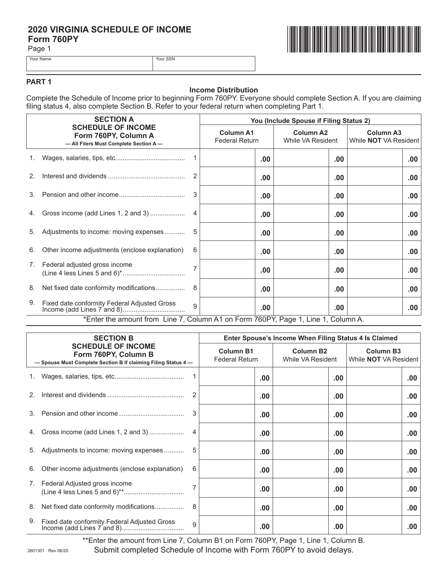# **2020 VIRGINIA SCHEDULE OF INCOME<br>Form 760PY<br>Page 1 Form 760PY**

Page 1



Your Name Your SSN

## **PART 1**

## **Income Distribution**

Complete the Schedule of Income prior to beginning Form 760PY. Everyone should complete Section A. If you are claiming filing status 4, also complete Section B. Refer to your federal return when completing Part 1.

|    | <b>SECTION A</b><br><b>SCHEDULE OF INCOME</b><br>Form 760PY, Column A<br>- All Filers Must Complete Section A- |              | You (Include Spouse if Filing Status 2)   |     |                                       |                                                  |  |
|----|----------------------------------------------------------------------------------------------------------------|--------------|-------------------------------------------|-----|---------------------------------------|--------------------------------------------------|--|
|    |                                                                                                                |              | <b>Column A1</b><br><b>Federal Return</b> |     | <b>Column A2</b><br>While VA Resident | <b>Column A3</b><br>While <b>NOT</b> VA Resident |  |
| 1. |                                                                                                                |              |                                           | .00 | $.00 \,$                              | .00                                              |  |
| 2. |                                                                                                                | 2            |                                           | .00 | .00                                   | .00.                                             |  |
| 3. |                                                                                                                | 3            |                                           | .00 | .00                                   | .00.                                             |  |
| 4. | Gross income (add Lines 1, 2 and 3)                                                                            | 4            |                                           | .00 | .00                                   | .00.                                             |  |
| 5. | Adjustments to income: moving expenses                                                                         |              |                                           | .00 | .00                                   | .00.                                             |  |
| 6. | Other income adjustments (enclose explanation)                                                                 | 6            |                                           | .00 | .00                                   | .00.                                             |  |
| 7. | Federal adjusted gross income                                                                                  |              |                                           | .00 | .00                                   | .00.                                             |  |
| 8. | Net fixed date conformity modifications                                                                        | 8            |                                           | .00 | .00                                   | .00                                              |  |
| 9. | Fixed date conformity Federal Adjusted Gross                                                                   | $\mathbf{Q}$ |                                           | .00 | .00                                   | .00                                              |  |
|    | *Enter the amount from Line 7, Column A1 on Form 760PY, Page 1, Line 1, Column A.                              |              |                                           |     |                                       |                                                  |  |

| <b>SECTION B</b><br><b>SCHEDULE OF INCOME</b><br>Form 760PY, Column B<br>- Spouse Must Complete Section B if claiming Filing Status 4- |                                                | Enter Spouse's Income When Filing Status 4 Is Claimed |                                       |                                                  |     |  |  |
|----------------------------------------------------------------------------------------------------------------------------------------|------------------------------------------------|-------------------------------------------------------|---------------------------------------|--------------------------------------------------|-----|--|--|
|                                                                                                                                        |                                                | <b>Column B1</b><br><b>Federal Return</b>             | <b>Column B2</b><br>While VA Resident | <b>Column B3</b><br>While <b>NOT</b> VA Resident |     |  |  |
|                                                                                                                                        |                                                |                                                       | .00                                   | .00                                              | .00 |  |  |
| 2.                                                                                                                                     |                                                |                                                       | .00.                                  | $.00 \,$                                         | .00 |  |  |
| 3.                                                                                                                                     |                                                | 3                                                     | .00.                                  | .00                                              | .00 |  |  |
| 4.                                                                                                                                     | Gross income (add Lines 1, 2 and 3)            |                                                       | .00                                   | .00                                              | .00 |  |  |
| 5.                                                                                                                                     | Adjustments to income: moving expenses         | 5                                                     | .00.                                  | $.00 \,$                                         | .00 |  |  |
| 6.                                                                                                                                     | Other income adjustments (enclose explanation) | 6                                                     | .00                                   | $.00 \,$                                         | .00 |  |  |
| 7.                                                                                                                                     | Federal Adjusted gross income                  |                                                       | .00                                   | $.00 \,$                                         | .00 |  |  |
| 8.                                                                                                                                     | Net fixed date conformity modifications        | 8                                                     | .00                                   | $.00 \,$                                         | .00 |  |  |
| 9.                                                                                                                                     | Fixed date conformity Federal Adjusted Gross   | 9                                                     | .00                                   | .00                                              | .00 |  |  |

\*\*Enter the amount from Line 7, Column B1 on Form 760PY, Page 1, Line 1, Column B.

Submit completed Schedule of Income with Form 760PY to avoid delays.